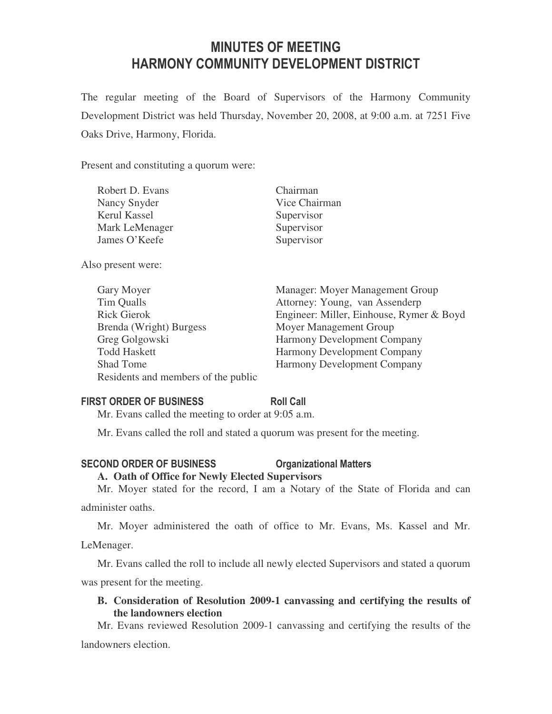# MINUTES OF MEETING HARMONY COMMUNITY DEVELOPMENT DISTRICT

The regular meeting of the Board of Supervisors of the Harmony Community Development District was held Thursday, November 20, 2008, at 9:00 a.m. at 7251 Five Oaks Drive, Harmony, Florida.

Present and constituting a quorum were:

| Robert D. Evans     | Chairman      |
|---------------------|---------------|
| Nancy Snyder        | Vice Chairman |
| <b>Kerul Kassel</b> | Supervisor    |
| Mark LeMenager      | Supervisor    |
| James O'Keefe       | Supervisor    |
|                     |               |

Also present were:

| Gary Moyer                          | Manager: Moyer Management Group          |
|-------------------------------------|------------------------------------------|
| Tim Qualls                          | Attorney: Young, van Assenderp           |
| <b>Rick Gierok</b>                  | Engineer: Miller, Einhouse, Rymer & Boyd |
| Brenda (Wright) Burgess             | Moyer Management Group                   |
| Greg Golgowski                      | Harmony Development Company              |
| <b>Todd Haskett</b>                 | Harmony Development Company              |
| <b>Shad Tome</b>                    | <b>Harmony Development Company</b>       |
| Residents and members of the public |                                          |

### FIRST ORDER OF BUSINESS Roll Call

Mr. Evans called the meeting to order at 9:05 a.m.

Mr. Evans called the roll and stated a quorum was present for the meeting.

# SECOND ORDER OF BUSINESS **COMMUNICIPY OF A CONSTRUSTION**

### **A. Oath of Office for Newly Elected Supervisors**

Mr. Moyer stated for the record, I am a Notary of the State of Florida and can administer oaths.

Mr. Moyer administered the oath of office to Mr. Evans, Ms. Kassel and Mr. LeMenager.

Mr. Evans called the roll to include all newly elected Supervisors and stated a quorum was present for the meeting.

## **B. Consideration of Resolution 2009-1 canvassing and certifying the results of the landowners election**

Mr. Evans reviewed Resolution 2009-1 canvassing and certifying the results of the landowners election.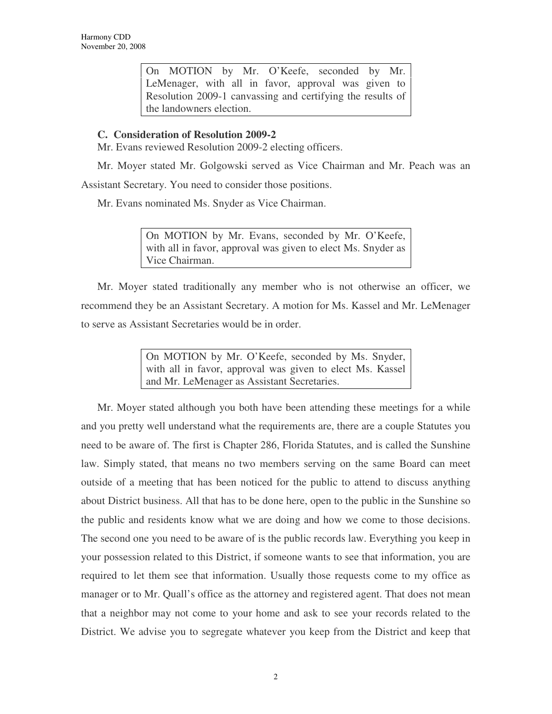On MOTION by Mr. O'Keefe, seconded by Mr. LeMenager, with all in favor, approval was given to Resolution 2009-1 canvassing and certifying the results of the landowners election.

## **C. Consideration of Resolution 2009-2**

Mr. Evans reviewed Resolution 2009-2 electing officers.

Mr. Moyer stated Mr. Golgowski served as Vice Chairman and Mr. Peach was an Assistant Secretary. You need to consider those positions.

Mr. Evans nominated Ms. Snyder as Vice Chairman.

On MOTION by Mr. Evans, seconded by Mr. O'Keefe, with all in favor, approval was given to elect Ms. Snyder as Vice Chairman.

Mr. Moyer stated traditionally any member who is not otherwise an officer, we recommend they be an Assistant Secretary. A motion for Ms. Kassel and Mr. LeMenager to serve as Assistant Secretaries would be in order.

> On MOTION by Mr. O'Keefe, seconded by Ms. Snyder, with all in favor, approval was given to elect Ms. Kassel and Mr. LeMenager as Assistant Secretaries.

Mr. Moyer stated although you both have been attending these meetings for a while and you pretty well understand what the requirements are, there are a couple Statutes you need to be aware of. The first is Chapter 286, Florida Statutes, and is called the Sunshine law. Simply stated, that means no two members serving on the same Board can meet outside of a meeting that has been noticed for the public to attend to discuss anything about District business. All that has to be done here, open to the public in the Sunshine so the public and residents know what we are doing and how we come to those decisions. The second one you need to be aware of is the public records law. Everything you keep in your possession related to this District, if someone wants to see that information, you are required to let them see that information. Usually those requests come to my office as manager or to Mr. Quall's office as the attorney and registered agent. That does not mean that a neighbor may not come to your home and ask to see your records related to the District. We advise you to segregate whatever you keep from the District and keep that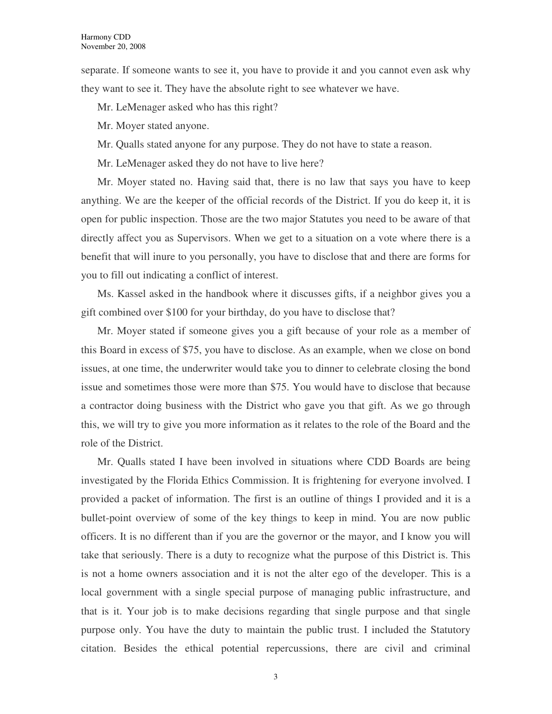separate. If someone wants to see it, you have to provide it and you cannot even ask why they want to see it. They have the absolute right to see whatever we have.

Mr. LeMenager asked who has this right?

Mr. Moyer stated anyone.

Mr. Qualls stated anyone for any purpose. They do not have to state a reason.

Mr. LeMenager asked they do not have to live here?

Mr. Moyer stated no. Having said that, there is no law that says you have to keep anything. We are the keeper of the official records of the District. If you do keep it, it is open for public inspection. Those are the two major Statutes you need to be aware of that directly affect you as Supervisors. When we get to a situation on a vote where there is a benefit that will inure to you personally, you have to disclose that and there are forms for you to fill out indicating a conflict of interest.

Ms. Kassel asked in the handbook where it discusses gifts, if a neighbor gives you a gift combined over \$100 for your birthday, do you have to disclose that?

Mr. Moyer stated if someone gives you a gift because of your role as a member of this Board in excess of \$75, you have to disclose. As an example, when we close on bond issues, at one time, the underwriter would take you to dinner to celebrate closing the bond issue and sometimes those were more than \$75. You would have to disclose that because a contractor doing business with the District who gave you that gift. As we go through this, we will try to give you more information as it relates to the role of the Board and the role of the District.

Mr. Qualls stated I have been involved in situations where CDD Boards are being investigated by the Florida Ethics Commission. It is frightening for everyone involved. I provided a packet of information. The first is an outline of things I provided and it is a bullet-point overview of some of the key things to keep in mind. You are now public officers. It is no different than if you are the governor or the mayor, and I know you will take that seriously. There is a duty to recognize what the purpose of this District is. This is not a home owners association and it is not the alter ego of the developer. This is a local government with a single special purpose of managing public infrastructure, and that is it. Your job is to make decisions regarding that single purpose and that single purpose only. You have the duty to maintain the public trust. I included the Statutory citation. Besides the ethical potential repercussions, there are civil and criminal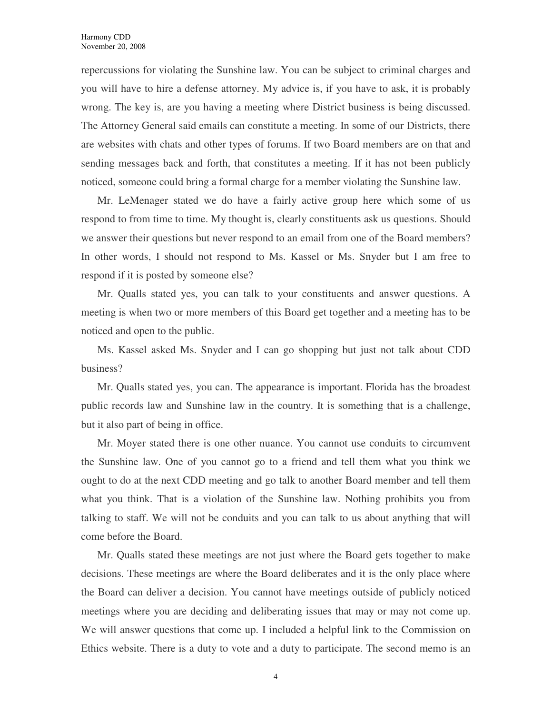repercussions for violating the Sunshine law. You can be subject to criminal charges and you will have to hire a defense attorney. My advice is, if you have to ask, it is probably wrong. The key is, are you having a meeting where District business is being discussed. The Attorney General said emails can constitute a meeting. In some of our Districts, there are websites with chats and other types of forums. If two Board members are on that and sending messages back and forth, that constitutes a meeting. If it has not been publicly noticed, someone could bring a formal charge for a member violating the Sunshine law.

Mr. LeMenager stated we do have a fairly active group here which some of us respond to from time to time. My thought is, clearly constituents ask us questions. Should we answer their questions but never respond to an email from one of the Board members? In other words, I should not respond to Ms. Kassel or Ms. Snyder but I am free to respond if it is posted by someone else?

Mr. Qualls stated yes, you can talk to your constituents and answer questions. A meeting is when two or more members of this Board get together and a meeting has to be noticed and open to the public.

Ms. Kassel asked Ms. Snyder and I can go shopping but just not talk about CDD business?

Mr. Qualls stated yes, you can. The appearance is important. Florida has the broadest public records law and Sunshine law in the country. It is something that is a challenge, but it also part of being in office.

Mr. Moyer stated there is one other nuance. You cannot use conduits to circumvent the Sunshine law. One of you cannot go to a friend and tell them what you think we ought to do at the next CDD meeting and go talk to another Board member and tell them what you think. That is a violation of the Sunshine law. Nothing prohibits you from talking to staff. We will not be conduits and you can talk to us about anything that will come before the Board.

Mr. Qualls stated these meetings are not just where the Board gets together to make decisions. These meetings are where the Board deliberates and it is the only place where the Board can deliver a decision. You cannot have meetings outside of publicly noticed meetings where you are deciding and deliberating issues that may or may not come up. We will answer questions that come up. I included a helpful link to the Commission on Ethics website. There is a duty to vote and a duty to participate. The second memo is an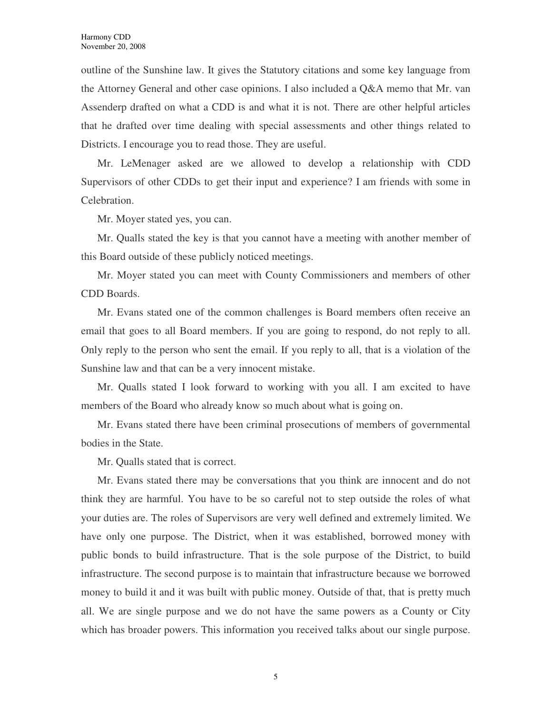outline of the Sunshine law. It gives the Statutory citations and some key language from the Attorney General and other case opinions. I also included a Q&A memo that Mr. van Assenderp drafted on what a CDD is and what it is not. There are other helpful articles that he drafted over time dealing with special assessments and other things related to Districts. I encourage you to read those. They are useful.

Mr. LeMenager asked are we allowed to develop a relationship with CDD Supervisors of other CDDs to get their input and experience? I am friends with some in Celebration.

Mr. Moyer stated yes, you can.

Mr. Qualls stated the key is that you cannot have a meeting with another member of this Board outside of these publicly noticed meetings.

Mr. Moyer stated you can meet with County Commissioners and members of other CDD Boards.

Mr. Evans stated one of the common challenges is Board members often receive an email that goes to all Board members. If you are going to respond, do not reply to all. Only reply to the person who sent the email. If you reply to all, that is a violation of the Sunshine law and that can be a very innocent mistake.

Mr. Qualls stated I look forward to working with you all. I am excited to have members of the Board who already know so much about what is going on.

Mr. Evans stated there have been criminal prosecutions of members of governmental bodies in the State.

Mr. Qualls stated that is correct.

Mr. Evans stated there may be conversations that you think are innocent and do not think they are harmful. You have to be so careful not to step outside the roles of what your duties are. The roles of Supervisors are very well defined and extremely limited. We have only one purpose. The District, when it was established, borrowed money with public bonds to build infrastructure. That is the sole purpose of the District, to build infrastructure. The second purpose is to maintain that infrastructure because we borrowed money to build it and it was built with public money. Outside of that, that is pretty much all. We are single purpose and we do not have the same powers as a County or City which has broader powers. This information you received talks about our single purpose.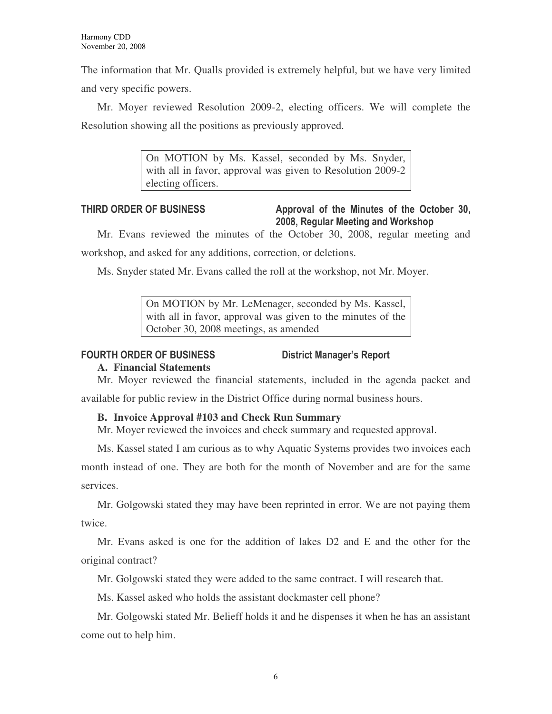The information that Mr. Qualls provided is extremely helpful, but we have very limited and very specific powers.

Mr. Moyer reviewed Resolution 2009-2, electing officers. We will complete the Resolution showing all the positions as previously approved.

> On MOTION by Ms. Kassel, seconded by Ms. Snyder, with all in favor, approval was given to Resolution 2009-2 electing officers.

### THIRD ORDER OF BUSINESS Approval of the Minutes of the October 30, 2008, Regular Meeting and Workshop

Mr. Evans reviewed the minutes of the October 30, 2008, regular meeting and workshop, and asked for any additions, correction, or deletions.

Ms. Snyder stated Mr. Evans called the roll at the workshop, not Mr. Moyer.

On MOTION by Mr. LeMenager, seconded by Ms. Kassel, with all in favor, approval was given to the minutes of the October 30, 2008 meetings, as amended

### FOURTH ORDER OF BUSINESS District Manager's Report

# **A. Financial Statements**

Mr. Moyer reviewed the financial statements, included in the agenda packet and

available for public review in the District Office during normal business hours.

### **B. Invoice Approval #103 and Check Run Summary**

Mr. Moyer reviewed the invoices and check summary and requested approval.

Ms. Kassel stated I am curious as to why Aquatic Systems provides two invoices each

month instead of one. They are both for the month of November and are for the same services.

Mr. Golgowski stated they may have been reprinted in error. We are not paying them twice.

Mr. Evans asked is one for the addition of lakes D2 and E and the other for the original contract?

Mr. Golgowski stated they were added to the same contract. I will research that.

Ms. Kassel asked who holds the assistant dockmaster cell phone?

Mr. Golgowski stated Mr. Belieff holds it and he dispenses it when he has an assistant come out to help him.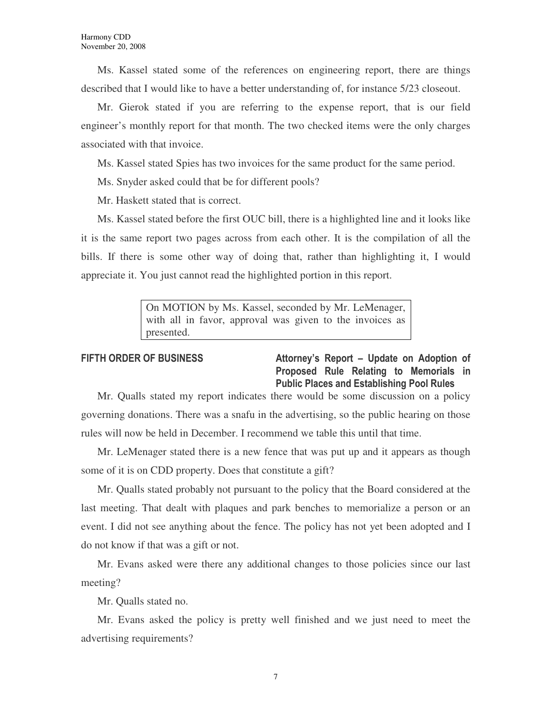Ms. Kassel stated some of the references on engineering report, there are things described that I would like to have a better understanding of, for instance 5/23 closeout.

Mr. Gierok stated if you are referring to the expense report, that is our field engineer's monthly report for that month. The two checked items were the only charges associated with that invoice.

Ms. Kassel stated Spies has two invoices for the same product for the same period.

Ms. Snyder asked could that be for different pools?

Mr. Haskett stated that is correct.

Ms. Kassel stated before the first OUC bill, there is a highlighted line and it looks like it is the same report two pages across from each other. It is the compilation of all the bills. If there is some other way of doing that, rather than highlighting it, I would appreciate it. You just cannot read the highlighted portion in this report.

> On MOTION by Ms. Kassel, seconded by Mr. LeMenager, with all in favor, approval was given to the invoices as presented.

FIFTH ORDER OF BUSINESS Attorney's Report – Update on Adoption of Proposed Rule Relating to Memorials in Public Places and Establishing Pool Rules

Mr. Qualls stated my report indicates there would be some discussion on a policy governing donations. There was a snafu in the advertising, so the public hearing on those rules will now be held in December. I recommend we table this until that time.

Mr. LeMenager stated there is a new fence that was put up and it appears as though some of it is on CDD property. Does that constitute a gift?

Mr. Qualls stated probably not pursuant to the policy that the Board considered at the last meeting. That dealt with plaques and park benches to memorialize a person or an event. I did not see anything about the fence. The policy has not yet been adopted and I do not know if that was a gift or not.

Mr. Evans asked were there any additional changes to those policies since our last meeting?

Mr. Qualls stated no.

Mr. Evans asked the policy is pretty well finished and we just need to meet the advertising requirements?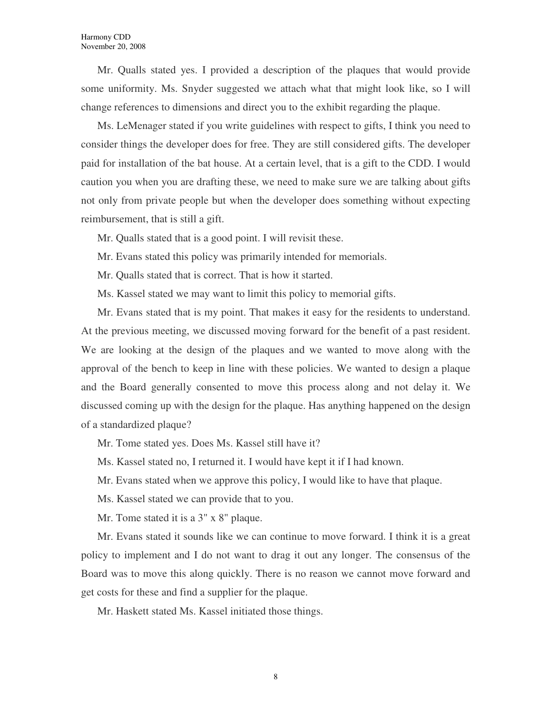Mr. Qualls stated yes. I provided a description of the plaques that would provide some uniformity. Ms. Snyder suggested we attach what that might look like, so I will change references to dimensions and direct you to the exhibit regarding the plaque.

Ms. LeMenager stated if you write guidelines with respect to gifts, I think you need to consider things the developer does for free. They are still considered gifts. The developer paid for installation of the bat house. At a certain level, that is a gift to the CDD. I would caution you when you are drafting these, we need to make sure we are talking about gifts not only from private people but when the developer does something without expecting reimbursement, that is still a gift.

Mr. Qualls stated that is a good point. I will revisit these.

Mr. Evans stated this policy was primarily intended for memorials.

Mr. Qualls stated that is correct. That is how it started.

Ms. Kassel stated we may want to limit this policy to memorial gifts.

Mr. Evans stated that is my point. That makes it easy for the residents to understand. At the previous meeting, we discussed moving forward for the benefit of a past resident. We are looking at the design of the plaques and we wanted to move along with the approval of the bench to keep in line with these policies. We wanted to design a plaque and the Board generally consented to move this process along and not delay it. We discussed coming up with the design for the plaque. Has anything happened on the design of a standardized plaque?

Mr. Tome stated yes. Does Ms. Kassel still have it?

Ms. Kassel stated no, I returned it. I would have kept it if I had known.

Mr. Evans stated when we approve this policy, I would like to have that plaque.

Ms. Kassel stated we can provide that to you.

Mr. Tome stated it is a  $3'' \times 8''$  plaque.

Mr. Evans stated it sounds like we can continue to move forward. I think it is a great policy to implement and I do not want to drag it out any longer. The consensus of the Board was to move this along quickly. There is no reason we cannot move forward and get costs for these and find a supplier for the plaque.

Mr. Haskett stated Ms. Kassel initiated those things.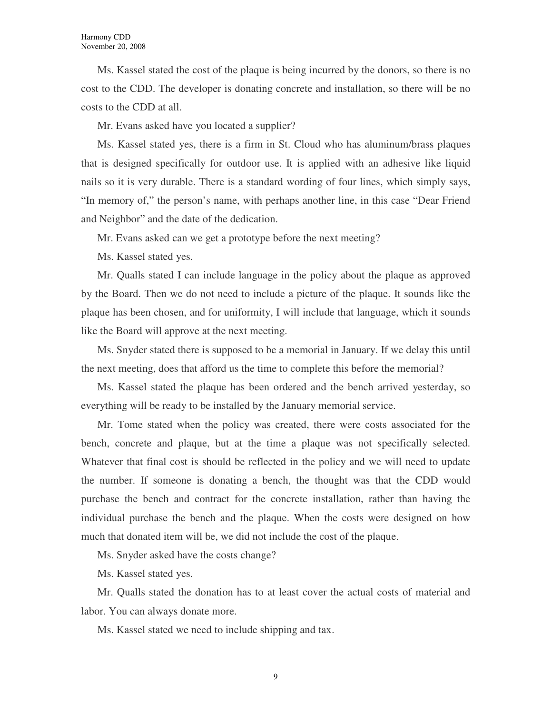Ms. Kassel stated the cost of the plaque is being incurred by the donors, so there is no cost to the CDD. The developer is donating concrete and installation, so there will be no costs to the CDD at all.

Mr. Evans asked have you located a supplier?

Ms. Kassel stated yes, there is a firm in St. Cloud who has aluminum/brass plaques that is designed specifically for outdoor use. It is applied with an adhesive like liquid nails so it is very durable. There is a standard wording of four lines, which simply says, "In memory of," the person's name, with perhaps another line, in this case "Dear Friend and Neighbor" and the date of the dedication.

Mr. Evans asked can we get a prototype before the next meeting?

Ms. Kassel stated yes.

Mr. Qualls stated I can include language in the policy about the plaque as approved by the Board. Then we do not need to include a picture of the plaque. It sounds like the plaque has been chosen, and for uniformity, I will include that language, which it sounds like the Board will approve at the next meeting.

Ms. Snyder stated there is supposed to be a memorial in January. If we delay this until the next meeting, does that afford us the time to complete this before the memorial?

Ms. Kassel stated the plaque has been ordered and the bench arrived yesterday, so everything will be ready to be installed by the January memorial service.

Mr. Tome stated when the policy was created, there were costs associated for the bench, concrete and plaque, but at the time a plaque was not specifically selected. Whatever that final cost is should be reflected in the policy and we will need to update the number. If someone is donating a bench, the thought was that the CDD would purchase the bench and contract for the concrete installation, rather than having the individual purchase the bench and the plaque. When the costs were designed on how much that donated item will be, we did not include the cost of the plaque.

Ms. Snyder asked have the costs change?

Ms. Kassel stated yes.

Mr. Qualls stated the donation has to at least cover the actual costs of material and labor. You can always donate more.

Ms. Kassel stated we need to include shipping and tax.

9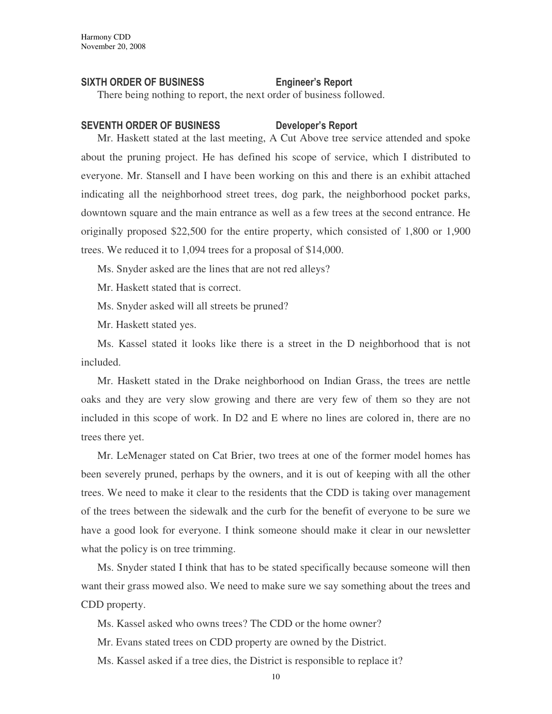### SIXTH ORDER OF BUSINESS Engineer's Report

There being nothing to report, the next order of business followed.

### SEVENTH ORDER OF BUSINESS Developer's Report

Mr. Haskett stated at the last meeting, A Cut Above tree service attended and spoke about the pruning project. He has defined his scope of service, which I distributed to everyone. Mr. Stansell and I have been working on this and there is an exhibit attached indicating all the neighborhood street trees, dog park, the neighborhood pocket parks, downtown square and the main entrance as well as a few trees at the second entrance. He originally proposed \$22,500 for the entire property, which consisted of 1,800 or 1,900 trees. We reduced it to 1,094 trees for a proposal of \$14,000.

Ms. Snyder asked are the lines that are not red alleys?

Mr. Haskett stated that is correct.

Ms. Snyder asked will all streets be pruned?

Mr. Haskett stated yes.

Ms. Kassel stated it looks like there is a street in the D neighborhood that is not included.

Mr. Haskett stated in the Drake neighborhood on Indian Grass, the trees are nettle oaks and they are very slow growing and there are very few of them so they are not included in this scope of work. In D2 and E where no lines are colored in, there are no trees there yet.

Mr. LeMenager stated on Cat Brier, two trees at one of the former model homes has been severely pruned, perhaps by the owners, and it is out of keeping with all the other trees. We need to make it clear to the residents that the CDD is taking over management of the trees between the sidewalk and the curb for the benefit of everyone to be sure we have a good look for everyone. I think someone should make it clear in our newsletter what the policy is on tree trimming.

Ms. Snyder stated I think that has to be stated specifically because someone will then want their grass mowed also. We need to make sure we say something about the trees and CDD property.

Ms. Kassel asked who owns trees? The CDD or the home owner?

Mr. Evans stated trees on CDD property are owned by the District.

Ms. Kassel asked if a tree dies, the District is responsible to replace it?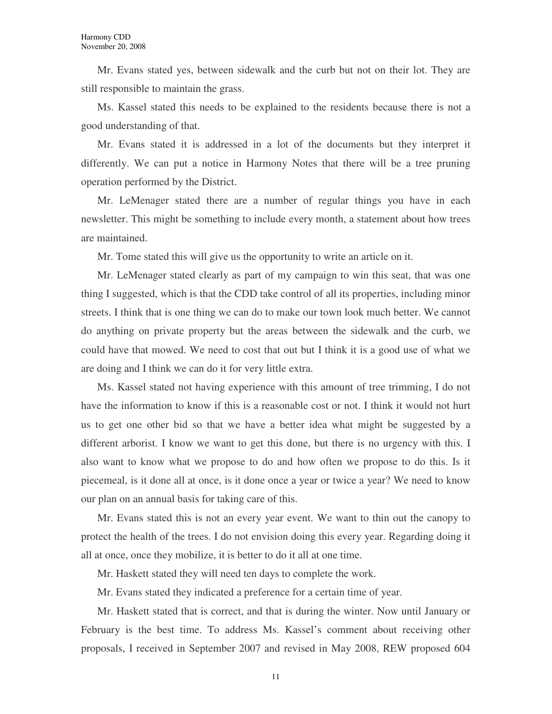Mr. Evans stated yes, between sidewalk and the curb but not on their lot. They are still responsible to maintain the grass.

Ms. Kassel stated this needs to be explained to the residents because there is not a good understanding of that.

Mr. Evans stated it is addressed in a lot of the documents but they interpret it differently. We can put a notice in Harmony Notes that there will be a tree pruning operation performed by the District.

Mr. LeMenager stated there are a number of regular things you have in each newsletter. This might be something to include every month, a statement about how trees are maintained.

Mr. Tome stated this will give us the opportunity to write an article on it.

Mr. LeMenager stated clearly as part of my campaign to win this seat, that was one thing I suggested, which is that the CDD take control of all its properties, including minor streets. I think that is one thing we can do to make our town look much better. We cannot do anything on private property but the areas between the sidewalk and the curb, we could have that mowed. We need to cost that out but I think it is a good use of what we are doing and I think we can do it for very little extra.

Ms. Kassel stated not having experience with this amount of tree trimming, I do not have the information to know if this is a reasonable cost or not. I think it would not hurt us to get one other bid so that we have a better idea what might be suggested by a different arborist. I know we want to get this done, but there is no urgency with this. I also want to know what we propose to do and how often we propose to do this. Is it piecemeal, is it done all at once, is it done once a year or twice a year? We need to know our plan on an annual basis for taking care of this.

Mr. Evans stated this is not an every year event. We want to thin out the canopy to protect the health of the trees. I do not envision doing this every year. Regarding doing it all at once, once they mobilize, it is better to do it all at one time.

Mr. Haskett stated they will need ten days to complete the work.

Mr. Evans stated they indicated a preference for a certain time of year.

Mr. Haskett stated that is correct, and that is during the winter. Now until January or February is the best time. To address Ms. Kassel's comment about receiving other proposals, I received in September 2007 and revised in May 2008, REW proposed 604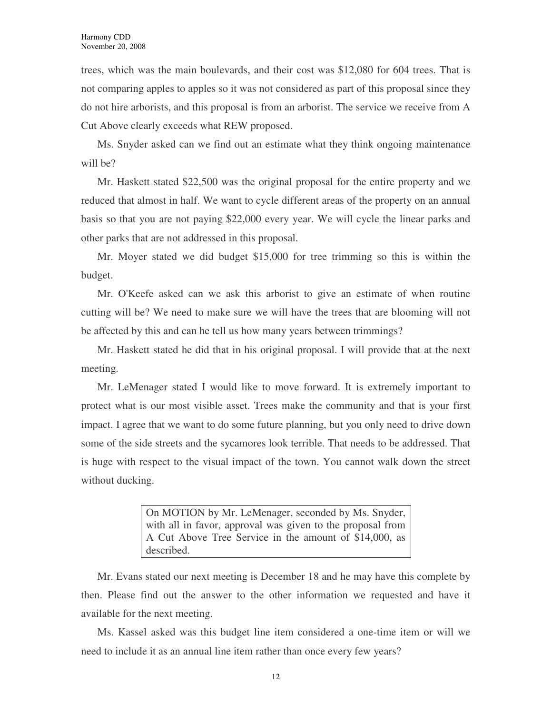trees, which was the main boulevards, and their cost was \$12,080 for 604 trees. That is not comparing apples to apples so it was not considered as part of this proposal since they do not hire arborists, and this proposal is from an arborist. The service we receive from A Cut Above clearly exceeds what REW proposed.

Ms. Snyder asked can we find out an estimate what they think ongoing maintenance will be?

Mr. Haskett stated \$22,500 was the original proposal for the entire property and we reduced that almost in half. We want to cycle different areas of the property on an annual basis so that you are not paying \$22,000 every year. We will cycle the linear parks and other parks that are not addressed in this proposal.

Mr. Moyer stated we did budget \$15,000 for tree trimming so this is within the budget.

Mr. O'Keefe asked can we ask this arborist to give an estimate of when routine cutting will be? We need to make sure we will have the trees that are blooming will not be affected by this and can he tell us how many years between trimmings?

Mr. Haskett stated he did that in his original proposal. I will provide that at the next meeting.

Mr. LeMenager stated I would like to move forward. It is extremely important to protect what is our most visible asset. Trees make the community and that is your first impact. I agree that we want to do some future planning, but you only need to drive down some of the side streets and the sycamores look terrible. That needs to be addressed. That is huge with respect to the visual impact of the town. You cannot walk down the street without ducking.

> On MOTION by Mr. LeMenager, seconded by Ms. Snyder, with all in favor, approval was given to the proposal from A Cut Above Tree Service in the amount of \$14,000, as described.

Mr. Evans stated our next meeting is December 18 and he may have this complete by then. Please find out the answer to the other information we requested and have it available for the next meeting.

Ms. Kassel asked was this budget line item considered a one-time item or will we need to include it as an annual line item rather than once every few years?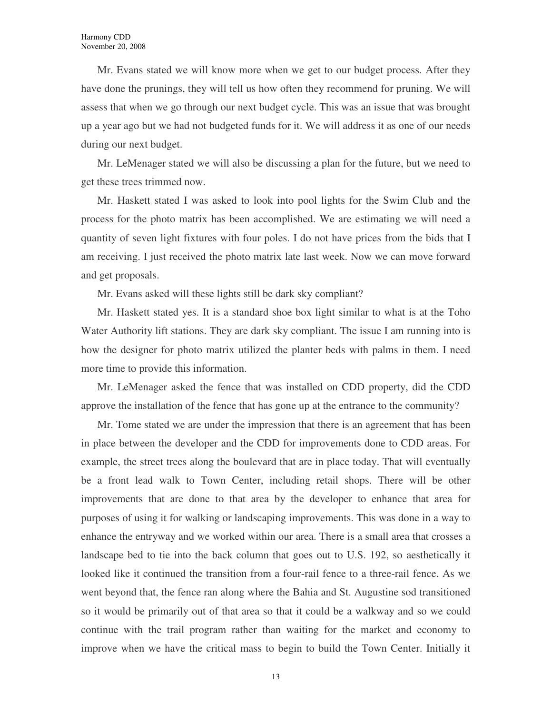Mr. Evans stated we will know more when we get to our budget process. After they have done the prunings, they will tell us how often they recommend for pruning. We will assess that when we go through our next budget cycle. This was an issue that was brought up a year ago but we had not budgeted funds for it. We will address it as one of our needs during our next budget.

Mr. LeMenager stated we will also be discussing a plan for the future, but we need to get these trees trimmed now.

Mr. Haskett stated I was asked to look into pool lights for the Swim Club and the process for the photo matrix has been accomplished. We are estimating we will need a quantity of seven light fixtures with four poles. I do not have prices from the bids that I am receiving. I just received the photo matrix late last week. Now we can move forward and get proposals.

Mr. Evans asked will these lights still be dark sky compliant?

Mr. Haskett stated yes. It is a standard shoe box light similar to what is at the Toho Water Authority lift stations. They are dark sky compliant. The issue I am running into is how the designer for photo matrix utilized the planter beds with palms in them. I need more time to provide this information.

Mr. LeMenager asked the fence that was installed on CDD property, did the CDD approve the installation of the fence that has gone up at the entrance to the community?

Mr. Tome stated we are under the impression that there is an agreement that has been in place between the developer and the CDD for improvements done to CDD areas. For example, the street trees along the boulevard that are in place today. That will eventually be a front lead walk to Town Center, including retail shops. There will be other improvements that are done to that area by the developer to enhance that area for purposes of using it for walking or landscaping improvements. This was done in a way to enhance the entryway and we worked within our area. There is a small area that crosses a landscape bed to tie into the back column that goes out to U.S. 192, so aesthetically it looked like it continued the transition from a four-rail fence to a three-rail fence. As we went beyond that, the fence ran along where the Bahia and St. Augustine sod transitioned so it would be primarily out of that area so that it could be a walkway and so we could continue with the trail program rather than waiting for the market and economy to improve when we have the critical mass to begin to build the Town Center. Initially it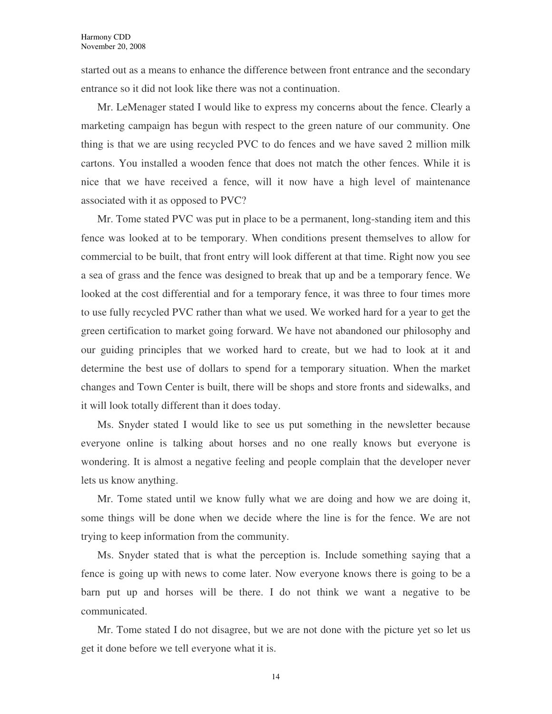started out as a means to enhance the difference between front entrance and the secondary entrance so it did not look like there was not a continuation.

Mr. LeMenager stated I would like to express my concerns about the fence. Clearly a marketing campaign has begun with respect to the green nature of our community. One thing is that we are using recycled PVC to do fences and we have saved 2 million milk cartons. You installed a wooden fence that does not match the other fences. While it is nice that we have received a fence, will it now have a high level of maintenance associated with it as opposed to PVC?

Mr. Tome stated PVC was put in place to be a permanent, long-standing item and this fence was looked at to be temporary. When conditions present themselves to allow for commercial to be built, that front entry will look different at that time. Right now you see a sea of grass and the fence was designed to break that up and be a temporary fence. We looked at the cost differential and for a temporary fence, it was three to four times more to use fully recycled PVC rather than what we used. We worked hard for a year to get the green certification to market going forward. We have not abandoned our philosophy and our guiding principles that we worked hard to create, but we had to look at it and determine the best use of dollars to spend for a temporary situation. When the market changes and Town Center is built, there will be shops and store fronts and sidewalks, and it will look totally different than it does today.

Ms. Snyder stated I would like to see us put something in the newsletter because everyone online is talking about horses and no one really knows but everyone is wondering. It is almost a negative feeling and people complain that the developer never lets us know anything.

Mr. Tome stated until we know fully what we are doing and how we are doing it, some things will be done when we decide where the line is for the fence. We are not trying to keep information from the community.

Ms. Snyder stated that is what the perception is. Include something saying that a fence is going up with news to come later. Now everyone knows there is going to be a barn put up and horses will be there. I do not think we want a negative to be communicated.

Mr. Tome stated I do not disagree, but we are not done with the picture yet so let us get it done before we tell everyone what it is.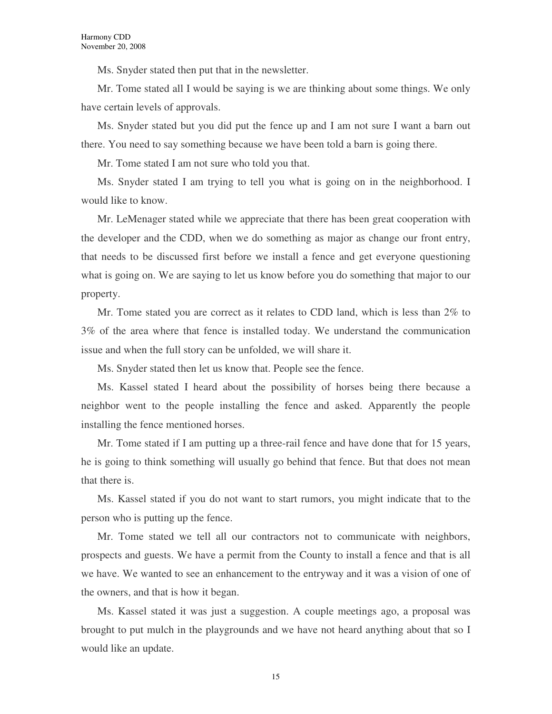Ms. Snyder stated then put that in the newsletter.

Mr. Tome stated all I would be saying is we are thinking about some things. We only have certain levels of approvals.

Ms. Snyder stated but you did put the fence up and I am not sure I want a barn out there. You need to say something because we have been told a barn is going there.

Mr. Tome stated I am not sure who told you that.

Ms. Snyder stated I am trying to tell you what is going on in the neighborhood. I would like to know.

Mr. LeMenager stated while we appreciate that there has been great cooperation with the developer and the CDD, when we do something as major as change our front entry, that needs to be discussed first before we install a fence and get everyone questioning what is going on. We are saying to let us know before you do something that major to our property.

Mr. Tome stated you are correct as it relates to CDD land, which is less than 2% to 3% of the area where that fence is installed today. We understand the communication issue and when the full story can be unfolded, we will share it.

Ms. Snyder stated then let us know that. People see the fence.

Ms. Kassel stated I heard about the possibility of horses being there because a neighbor went to the people installing the fence and asked. Apparently the people installing the fence mentioned horses.

Mr. Tome stated if I am putting up a three-rail fence and have done that for 15 years, he is going to think something will usually go behind that fence. But that does not mean that there is.

Ms. Kassel stated if you do not want to start rumors, you might indicate that to the person who is putting up the fence.

Mr. Tome stated we tell all our contractors not to communicate with neighbors, prospects and guests. We have a permit from the County to install a fence and that is all we have. We wanted to see an enhancement to the entryway and it was a vision of one of the owners, and that is how it began.

Ms. Kassel stated it was just a suggestion. A couple meetings ago, a proposal was brought to put mulch in the playgrounds and we have not heard anything about that so I would like an update.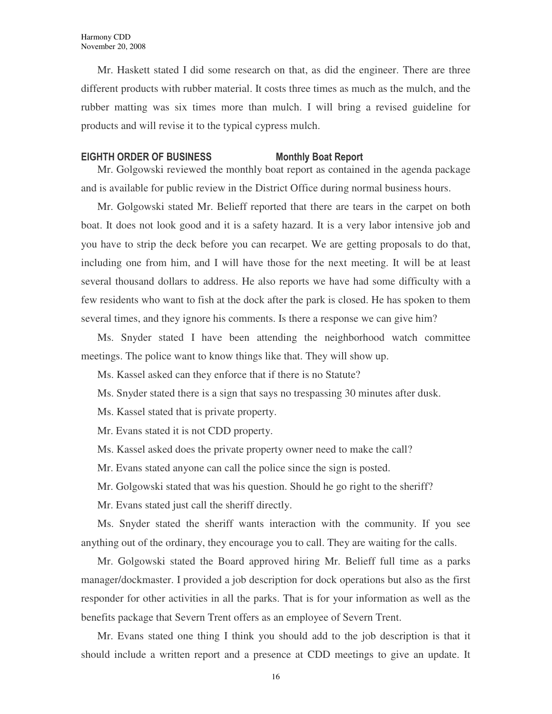Mr. Haskett stated I did some research on that, as did the engineer. There are three different products with rubber material. It costs three times as much as the mulch, and the rubber matting was six times more than mulch. I will bring a revised guideline for products and will revise it to the typical cypress mulch.

### EIGHTH ORDER OF BUSINESS Monthly Boat Report

Mr. Golgowski reviewed the monthly boat report as contained in the agenda package and is available for public review in the District Office during normal business hours.

Mr. Golgowski stated Mr. Belieff reported that there are tears in the carpet on both boat. It does not look good and it is a safety hazard. It is a very labor intensive job and you have to strip the deck before you can recarpet. We are getting proposals to do that, including one from him, and I will have those for the next meeting. It will be at least several thousand dollars to address. He also reports we have had some difficulty with a few residents who want to fish at the dock after the park is closed. He has spoken to them several times, and they ignore his comments. Is there a response we can give him?

Ms. Snyder stated I have been attending the neighborhood watch committee meetings. The police want to know things like that. They will show up.

Ms. Kassel asked can they enforce that if there is no Statute?

Ms. Snyder stated there is a sign that says no trespassing 30 minutes after dusk.

Ms. Kassel stated that is private property.

Mr. Evans stated it is not CDD property.

Ms. Kassel asked does the private property owner need to make the call?

Mr. Evans stated anyone can call the police since the sign is posted.

Mr. Golgowski stated that was his question. Should he go right to the sheriff?

Mr. Evans stated just call the sheriff directly.

Ms. Snyder stated the sheriff wants interaction with the community. If you see anything out of the ordinary, they encourage you to call. They are waiting for the calls.

Mr. Golgowski stated the Board approved hiring Mr. Belieff full time as a parks manager/dockmaster. I provided a job description for dock operations but also as the first responder for other activities in all the parks. That is for your information as well as the benefits package that Severn Trent offers as an employee of Severn Trent.

Mr. Evans stated one thing I think you should add to the job description is that it should include a written report and a presence at CDD meetings to give an update. It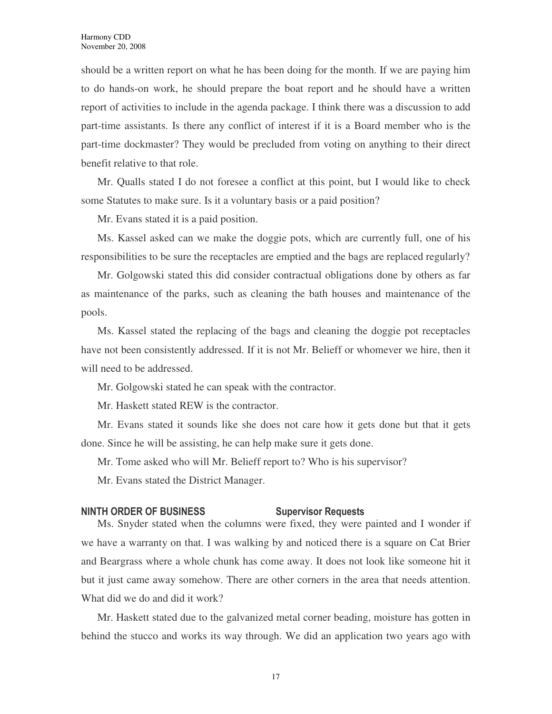should be a written report on what he has been doing for the month. If we are paying him to do hands-on work, he should prepare the boat report and he should have a written report of activities to include in the agenda package. I think there was a discussion to add part-time assistants. Is there any conflict of interest if it is a Board member who is the part-time dockmaster? They would be precluded from voting on anything to their direct benefit relative to that role.

Mr. Qualls stated I do not foresee a conflict at this point, but I would like to check some Statutes to make sure. Is it a voluntary basis or a paid position?

Mr. Evans stated it is a paid position.

Ms. Kassel asked can we make the doggie pots, which are currently full, one of his responsibilities to be sure the receptacles are emptied and the bags are replaced regularly?

Mr. Golgowski stated this did consider contractual obligations done by others as far as maintenance of the parks, such as cleaning the bath houses and maintenance of the pools.

Ms. Kassel stated the replacing of the bags and cleaning the doggie pot receptacles have not been consistently addressed. If it is not Mr. Belieff or whomever we hire, then it will need to be addressed.

Mr. Golgowski stated he can speak with the contractor.

Mr. Haskett stated REW is the contractor.

Mr. Evans stated it sounds like she does not care how it gets done but that it gets done. Since he will be assisting, he can help make sure it gets done.

Mr. Tome asked who will Mr. Belieff report to? Who is his supervisor?

Mr. Evans stated the District Manager.

### NINTH ORDER OF BUSINESS Supervisor Requests

Ms. Snyder stated when the columns were fixed, they were painted and I wonder if we have a warranty on that. I was walking by and noticed there is a square on Cat Brier and Beargrass where a whole chunk has come away. It does not look like someone hit it but it just came away somehow. There are other corners in the area that needs attention. What did we do and did it work?

Mr. Haskett stated due to the galvanized metal corner beading, moisture has gotten in behind the stucco and works its way through. We did an application two years ago with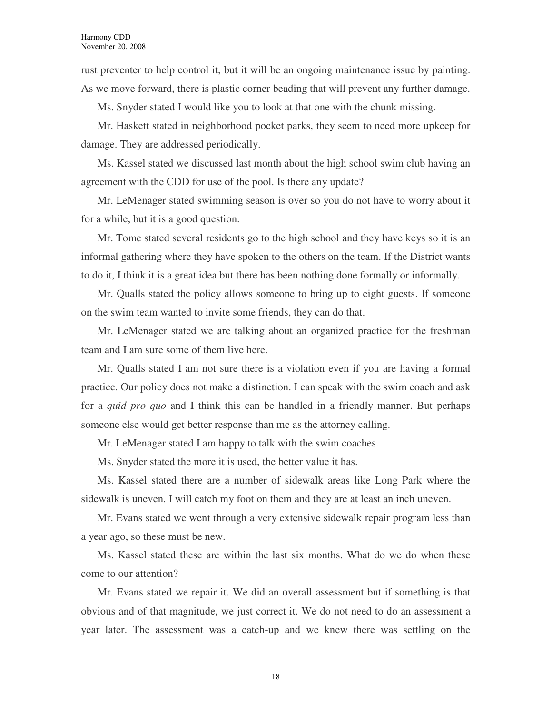rust preventer to help control it, but it will be an ongoing maintenance issue by painting. As we move forward, there is plastic corner beading that will prevent any further damage.

Ms. Snyder stated I would like you to look at that one with the chunk missing.

Mr. Haskett stated in neighborhood pocket parks, they seem to need more upkeep for damage. They are addressed periodically.

Ms. Kassel stated we discussed last month about the high school swim club having an agreement with the CDD for use of the pool. Is there any update?

Mr. LeMenager stated swimming season is over so you do not have to worry about it for a while, but it is a good question.

Mr. Tome stated several residents go to the high school and they have keys so it is an informal gathering where they have spoken to the others on the team. If the District wants to do it, I think it is a great idea but there has been nothing done formally or informally.

Mr. Qualls stated the policy allows someone to bring up to eight guests. If someone on the swim team wanted to invite some friends, they can do that.

Mr. LeMenager stated we are talking about an organized practice for the freshman team and I am sure some of them live here.

Mr. Qualls stated I am not sure there is a violation even if you are having a formal practice. Our policy does not make a distinction. I can speak with the swim coach and ask for a *quid pro quo* and I think this can be handled in a friendly manner. But perhaps someone else would get better response than me as the attorney calling.

Mr. LeMenager stated I am happy to talk with the swim coaches.

Ms. Snyder stated the more it is used, the better value it has.

Ms. Kassel stated there are a number of sidewalk areas like Long Park where the sidewalk is uneven. I will catch my foot on them and they are at least an inch uneven.

Mr. Evans stated we went through a very extensive sidewalk repair program less than a year ago, so these must be new.

Ms. Kassel stated these are within the last six months. What do we do when these come to our attention?

Mr. Evans stated we repair it. We did an overall assessment but if something is that obvious and of that magnitude, we just correct it. We do not need to do an assessment a year later. The assessment was a catch-up and we knew there was settling on the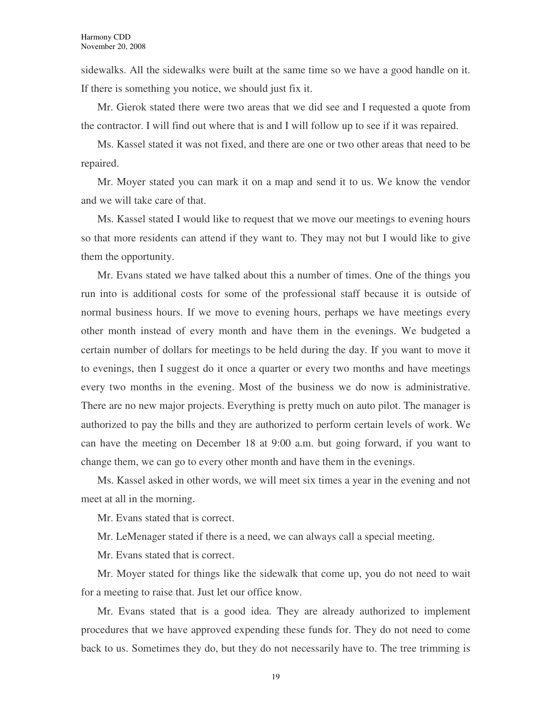sidewalks. All the sidewalks were built at the same time so we have a good handle on it. If there is something you notice, we should just fix it.

Mr. Gierok stated there were two areas that we did see and I requested a quote from the contractor. I will find out where that is and I will follow up to see if it was repaired.

Ms. Kassel stated it was not fixed, and there are one or two other areas that need to be repaired.

Mr. Moyer stated you can mark it on a map and send it to us. We know the vendor and we will take care of that.

Ms. Kassel stated I would like to request that we move our meetings to evening hours so that more residents can attend if they want to. They may not but I would like to give them the opportunity.

Mr. Evans stated we have talked about this a number of times. One of the things you run into is additional costs for some of the professional staff because it is outside of normal business hours. If we move to evening hours, perhaps we have meetings every other month instead of every month and have them in the evenings. We budgeted a certain number of dollars for meetings to be held during the day. If you want to move it to evenings, then I suggest do it once a quarter or every two months and have meetings every two months in the evening. Most of the business we do now is administrative. There are no new major projects. Everything is pretty much on auto pilot. The manager is authorized to pay the bills and they are authorized to perform certain levels of work. We can have the meeting on December 18 at 9:00 a.m. but going forward, if you want to change them, we can go to every other month and have them in the evenings.

Ms. Kassel asked in other words, we will meet six times a year in the evening and not meet at all in the morning.

Mr. Evans stated that is correct.

Mr. LeMenager stated if there is a need, we can always call a special meeting.

Mr. Evans stated that is correct.

Mr. Moyer stated for things like the sidewalk that come up, you do not need to wait for a meeting to raise that. Just let our office know.

Mr. Evans stated that is a good idea. They are already authorized to implement procedures that we have approved expending these funds for. They do not need to come back to us. Sometimes they do, but they do not necessarily have to. The tree trimming is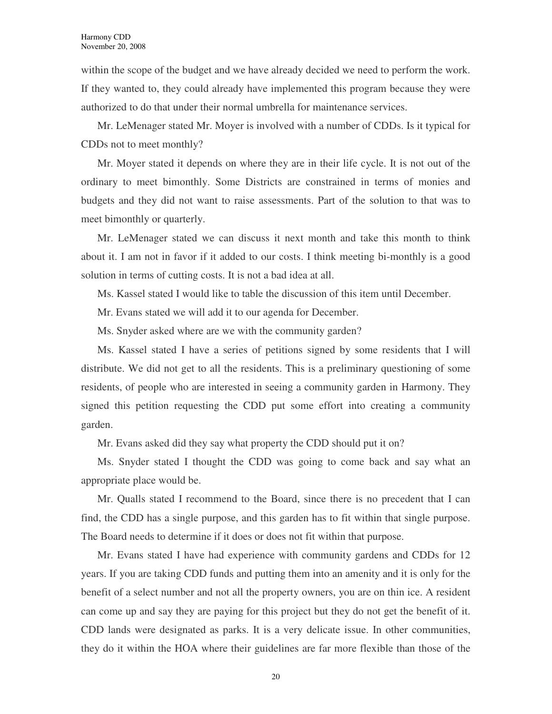within the scope of the budget and we have already decided we need to perform the work. If they wanted to, they could already have implemented this program because they were authorized to do that under their normal umbrella for maintenance services.

Mr. LeMenager stated Mr. Moyer is involved with a number of CDDs. Is it typical for CDDs not to meet monthly?

Mr. Moyer stated it depends on where they are in their life cycle. It is not out of the ordinary to meet bimonthly. Some Districts are constrained in terms of monies and budgets and they did not want to raise assessments. Part of the solution to that was to meet bimonthly or quarterly.

Mr. LeMenager stated we can discuss it next month and take this month to think about it. I am not in favor if it added to our costs. I think meeting bi-monthly is a good solution in terms of cutting costs. It is not a bad idea at all.

Ms. Kassel stated I would like to table the discussion of this item until December.

Mr. Evans stated we will add it to our agenda for December.

Ms. Snyder asked where are we with the community garden?

Ms. Kassel stated I have a series of petitions signed by some residents that I will distribute. We did not get to all the residents. This is a preliminary questioning of some residents, of people who are interested in seeing a community garden in Harmony. They signed this petition requesting the CDD put some effort into creating a community garden.

Mr. Evans asked did they say what property the CDD should put it on?

Ms. Snyder stated I thought the CDD was going to come back and say what an appropriate place would be.

Mr. Qualls stated I recommend to the Board, since there is no precedent that I can find, the CDD has a single purpose, and this garden has to fit within that single purpose. The Board needs to determine if it does or does not fit within that purpose.

Mr. Evans stated I have had experience with community gardens and CDDs for 12 years. If you are taking CDD funds and putting them into an amenity and it is only for the benefit of a select number and not all the property owners, you are on thin ice. A resident can come up and say they are paying for this project but they do not get the benefit of it. CDD lands were designated as parks. It is a very delicate issue. In other communities, they do it within the HOA where their guidelines are far more flexible than those of the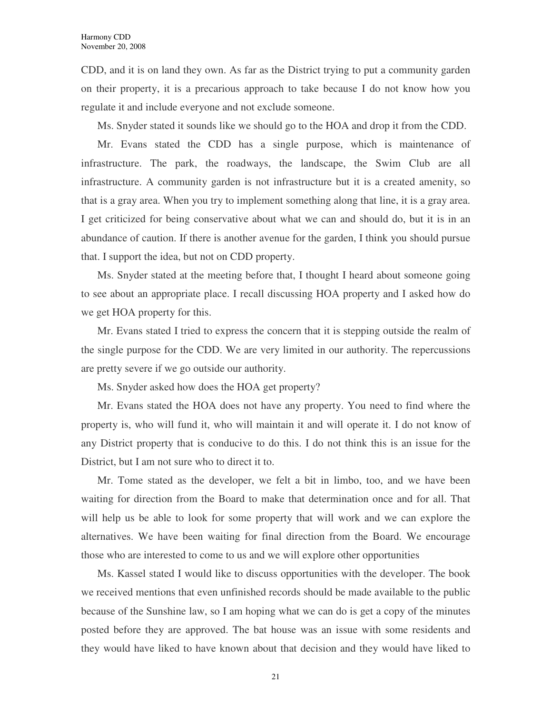CDD, and it is on land they own. As far as the District trying to put a community garden on their property, it is a precarious approach to take because I do not know how you regulate it and include everyone and not exclude someone.

Ms. Snyder stated it sounds like we should go to the HOA and drop it from the CDD.

Mr. Evans stated the CDD has a single purpose, which is maintenance of infrastructure. The park, the roadways, the landscape, the Swim Club are all infrastructure. A community garden is not infrastructure but it is a created amenity, so that is a gray area. When you try to implement something along that line, it is a gray area. I get criticized for being conservative about what we can and should do, but it is in an abundance of caution. If there is another avenue for the garden, I think you should pursue that. I support the idea, but not on CDD property.

Ms. Snyder stated at the meeting before that, I thought I heard about someone going to see about an appropriate place. I recall discussing HOA property and I asked how do we get HOA property for this.

Mr. Evans stated I tried to express the concern that it is stepping outside the realm of the single purpose for the CDD. We are very limited in our authority. The repercussions are pretty severe if we go outside our authority.

Ms. Snyder asked how does the HOA get property?

Mr. Evans stated the HOA does not have any property. You need to find where the property is, who will fund it, who will maintain it and will operate it. I do not know of any District property that is conducive to do this. I do not think this is an issue for the District, but I am not sure who to direct it to.

Mr. Tome stated as the developer, we felt a bit in limbo, too, and we have been waiting for direction from the Board to make that determination once and for all. That will help us be able to look for some property that will work and we can explore the alternatives. We have been waiting for final direction from the Board. We encourage those who are interested to come to us and we will explore other opportunities

Ms. Kassel stated I would like to discuss opportunities with the developer. The book we received mentions that even unfinished records should be made available to the public because of the Sunshine law, so I am hoping what we can do is get a copy of the minutes posted before they are approved. The bat house was an issue with some residents and they would have liked to have known about that decision and they would have liked to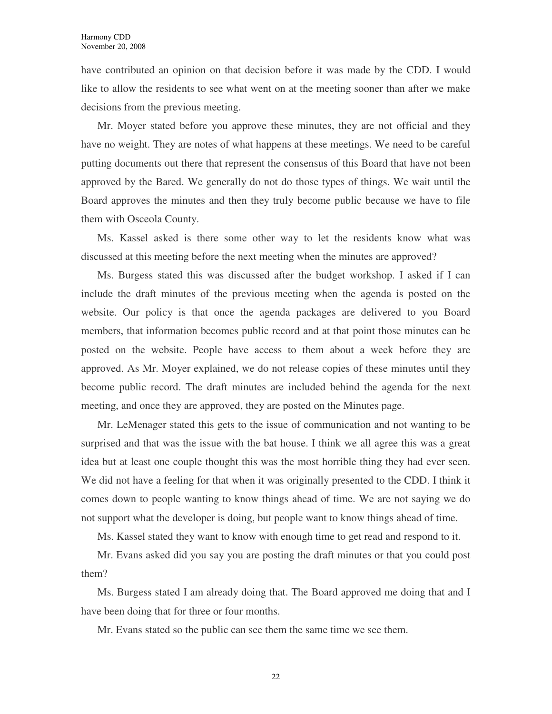have contributed an opinion on that decision before it was made by the CDD. I would like to allow the residents to see what went on at the meeting sooner than after we make decisions from the previous meeting.

Mr. Moyer stated before you approve these minutes, they are not official and they have no weight. They are notes of what happens at these meetings. We need to be careful putting documents out there that represent the consensus of this Board that have not been approved by the Bared. We generally do not do those types of things. We wait until the Board approves the minutes and then they truly become public because we have to file them with Osceola County.

Ms. Kassel asked is there some other way to let the residents know what was discussed at this meeting before the next meeting when the minutes are approved?

Ms. Burgess stated this was discussed after the budget workshop. I asked if I can include the draft minutes of the previous meeting when the agenda is posted on the website. Our policy is that once the agenda packages are delivered to you Board members, that information becomes public record and at that point those minutes can be posted on the website. People have access to them about a week before they are approved. As Mr. Moyer explained, we do not release copies of these minutes until they become public record. The draft minutes are included behind the agenda for the next meeting, and once they are approved, they are posted on the Minutes page.

Mr. LeMenager stated this gets to the issue of communication and not wanting to be surprised and that was the issue with the bat house. I think we all agree this was a great idea but at least one couple thought this was the most horrible thing they had ever seen. We did not have a feeling for that when it was originally presented to the CDD. I think it comes down to people wanting to know things ahead of time. We are not saying we do not support what the developer is doing, but people want to know things ahead of time.

Ms. Kassel stated they want to know with enough time to get read and respond to it.

Mr. Evans asked did you say you are posting the draft minutes or that you could post them?

Ms. Burgess stated I am already doing that. The Board approved me doing that and I have been doing that for three or four months.

Mr. Evans stated so the public can see them the same time we see them.